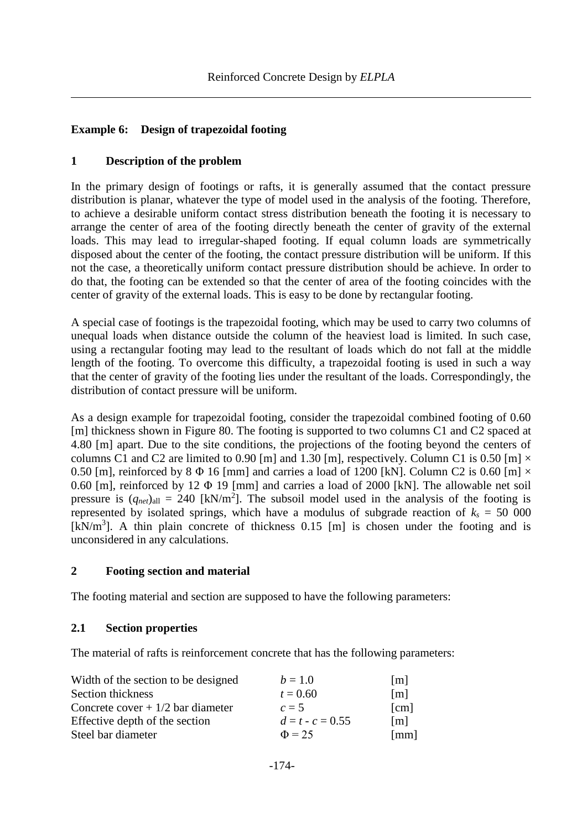# **Example 6: Design of trapezoidal footing**

# **1 Description of the problem**

In the primary design of footings or rafts, it is generally assumed that the contact pressure distribution is planar, whatever the type of model used in the analysis of the footing. Therefore, to achieve a desirable uniform contact stress distribution beneath the footing it is necessary to arrange the center of area of the footing directly beneath the center of gravity of the external loads. This may lead to irregular-shaped footing. If equal column loads are symmetrically disposed about the center of the footing, the contact pressure distribution will be uniform. If this not the case, a theoretically uniform contact pressure distribution should be achieve. In order to do that, the footing can be extended so that the center of area of the footing coincides with the center of gravity of the external loads. This is easy to be done by rectangular footing.

A special case of footings is the trapezoidal footing, which may be used to carry two columns of unequal loads when distance outside the column of the heaviest load is limited. In such case, using a rectangular footing may lead to the resultant of loads which do not fall at the middle length of the footing. To overcome this difficulty, a trapezoidal footing is used in such a way that the center of gravity of the footing lies under the resultant of the loads. Correspondingly, the distribution of contact pressure will be uniform.

As a design example for trapezoidal footing, consider the trapezoidal combined footing of 0.60 [m] thickness shown in [Figure 80.](#page-1-0) The footing is supported to two columns C1 and C2 spaced at 4.80 [m] apart. Due to the site conditions, the projections of the footing beyond the centers of columns C1 and C2 are limited to 0.90 [m] and 1.30 [m], respectively. Column C1 is 0.50 [m]  $\times$ 0.50 [m], reinforced by 8  $\Phi$  16 [mm] and carries a load of 1200 [kN]. Column C2 is 0.60 [m]  $\times$ 0.60 [m], reinforced by 12 Φ 19 [mm] and carries a load of 2000 [kN]. The allowable net soil pressure is  $(q_{net})_{all} = 240$  [kN/m<sup>2</sup>]. The subsoil model used in the analysis of the footing is represented by isolated springs, which have a modulus of subgrade reaction of  $k_s = 50,000$  $[kN/m<sup>3</sup>]$ . A thin plain concrete of thickness 0.15 [m] is chosen under the footing and is unconsidered in any calculations.

# **2 Footing section and material**

The footing material and section are supposed to have the following parameters:

# **2.1 Section properties**

The material of rafts is reinforcement concrete that has the following parameters:

| $b = 1.0$<br>$\lfloor m \rfloor$        |
|-----------------------------------------|
| $t = 0.60$<br>$\lceil m \rceil$         |
| [cm]<br>$c=5$                           |
| $d = t - c = 0.55$<br>$\lceil m \rceil$ |
| $\Phi = 25$<br>$\lceil mm \rceil$       |
|                                         |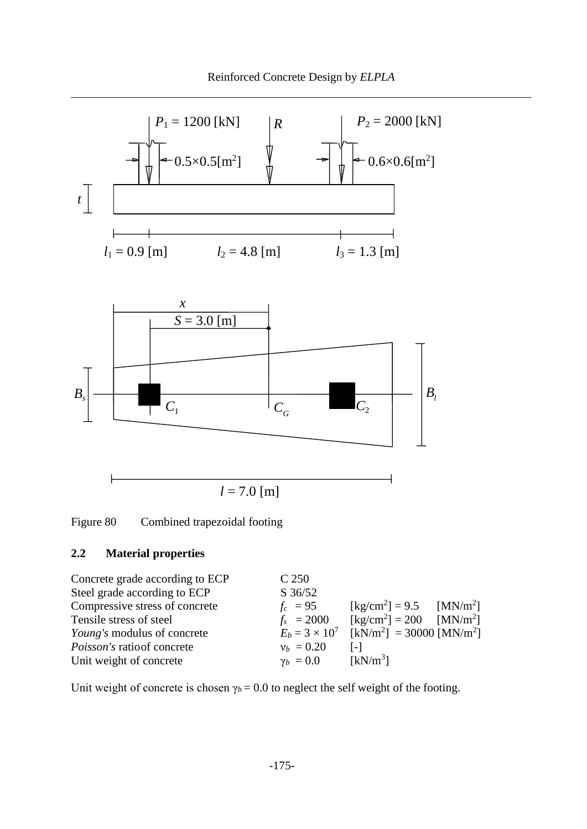

<span id="page-1-0"></span>

# **2.2 Material properties**

| Concrete grade according to ECP    | C <sub>250</sub>      |                                               |  |
|------------------------------------|-----------------------|-----------------------------------------------|--|
| Steel grade according to ECP       | $S \frac{36}{52}$     |                                               |  |
| Compressive stress of concrete     | $f_c = 95$            | $\text{[kg/cm}^2$ ] = 9.5 $\text{[MN/m}^2$ ]  |  |
| Tensile stress of steel            | $f_s = 2000$          | $[kg/cm2] = 200$ [MN/m <sup>2</sup> ]         |  |
| <i>Young's</i> modulus of concrete | $E_b = 3 \times 10^7$ | $\text{[kN/m}^2$ ] = 30000 $\text{[MN/m}^2$ ] |  |
| Poisson's ratio of concrete        | $v_b = 0.20$          | $\mathsf{L}$                                  |  |
| Unit weight of concrete            | $\gamma_b = 0.0$      | [kN/m <sup>3</sup> ]                          |  |

Unit weight of concrete is chosen  $\gamma_b = 0.0$  to neglect the self weight of the footing.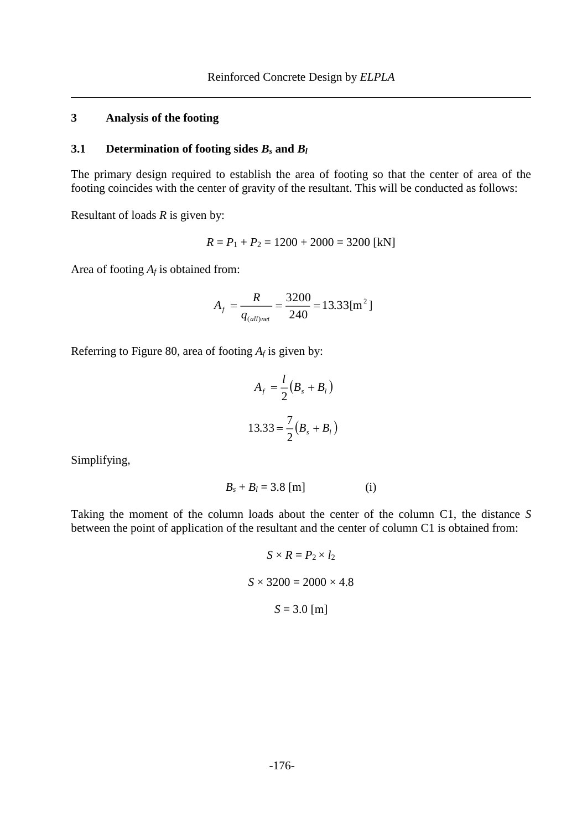## **3 Analysis of the footing**

### **3.1 Determination of footing sides** *B<sup>s</sup>* **and** *B<sup>l</sup>*

The primary design required to establish the area of footing so that the center of area of the footing coincides with the center of gravity of the resultant. This will be conducted as follows:

Resultant of loads *R* is given by:

$$
R = P_1 + P_2 = 1200 + 2000 = 3200
$$
 [kN]

Area of footing *A<sup>f</sup>* is obtained from:

$$
A_f = \frac{R}{q_{(all)net}} = \frac{3200}{240} = 13.33 \,\mathrm{[m^2]}
$$

Referring to [Figure 80,](#page-1-0) area of footing  $A_f$  is given by:

$$
A_f = \frac{l}{2} (B_s + B_l)
$$
  

$$
13.33 = \frac{7}{2} (B_s + B_l)
$$

Simplifying,

$$
B_s + B_l = 3.8 \text{ [m]}
$$
 (i)

Taking the moment of the column loads about the center of the column C1, the distance *S* between the point of application of the resultant and the center of column C1 is obtained from:

> $S \times R = P_2 \times l_2$  $S \times 3200 = 2000 \times 4.8$  $S = 3.0$  [m]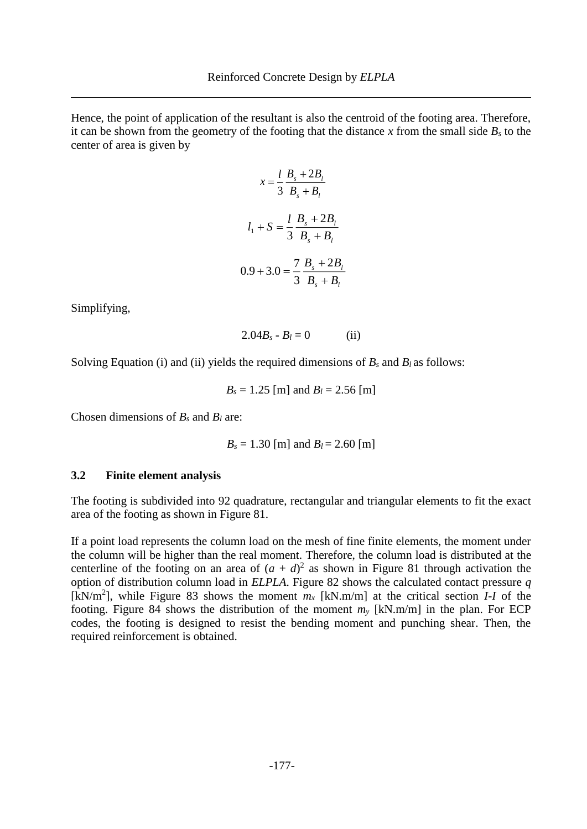Hence, the point of application of the resultant is also the centroid of the footing area. Therefore, it can be shown from the geometry of the footing that the distance  $x$  from the small side  $B_s$  to the center of area is given by

$$
x = \frac{l}{3} \frac{B_s + 2B_l}{B_s + B_l}
$$
  

$$
l_1 + S = \frac{l}{3} \frac{B_s + 2B_l}{B_s + B_l}
$$
  

$$
0.9 + 3.0 = \frac{7}{3} \frac{B_s + 2B_l}{B_s + B_l}
$$

Simplifying,

 $2.04B_s - B_l = 0$  (ii)

Solving Equation (i) and (ii) yields the required dimensions of  $B_s$  and  $B_l$  as follows:

 $B_s = 1.25$  [m] and  $B_l = 2.56$  [m]

Chosen dimensions of *B<sup>s</sup>* and *B<sup>l</sup>* are:

$$
B_s = 1.30
$$
 [m] and  $B_l = 2.60$  [m]

### **3.2 Finite element analysis**

The footing is subdivided into 92 quadrature, rectangular and triangular elements to fit the exact area of the footing as shown in [Figure 81.](#page-4-0)

If a point load represents the column load on the mesh of fine finite elements, the moment under the column will be higher than the real moment. Therefore, the column load is distributed at the centerline of the footing on an area of  $(a + d)^2$  as shown in [Figure 81](#page-4-0) through activation the option of distribution column load in *ELPLA*. [Figure 82](#page-5-0) shows the calculated contact pressure *q*  $[kN/m<sup>2</sup>]$ , while [Figure 83](#page-5-1) shows the moment  $m<sub>x</sub>$  [kN.m/m] at the critical section *I-I* of the footing. [Figure 84](#page-6-0) shows the distribution of the moment  $m<sub>v</sub>$  [kN.m/m] in the plan. For ECP codes, the footing is designed to resist the bending moment and punching shear. Then, the required reinforcement is obtained.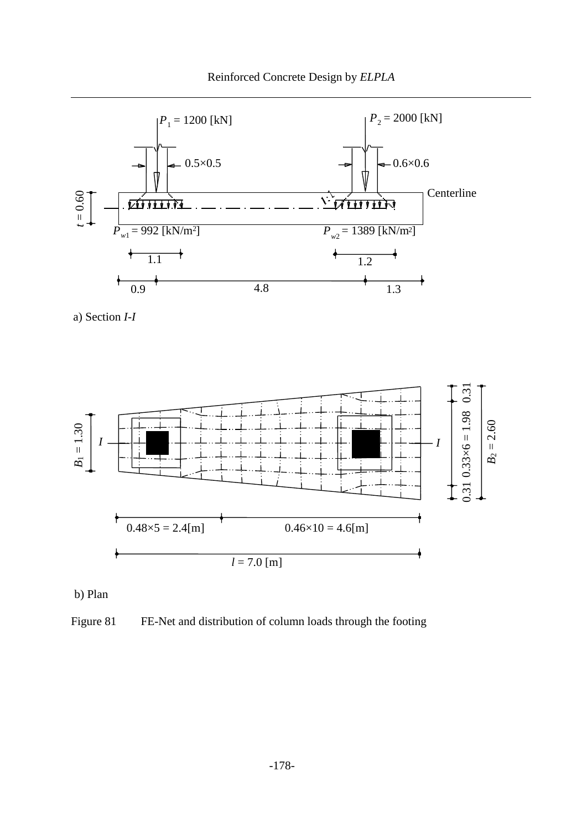





b) Plan

<span id="page-4-0"></span>Figure 81 FE-Net and distribution of column loads through the footing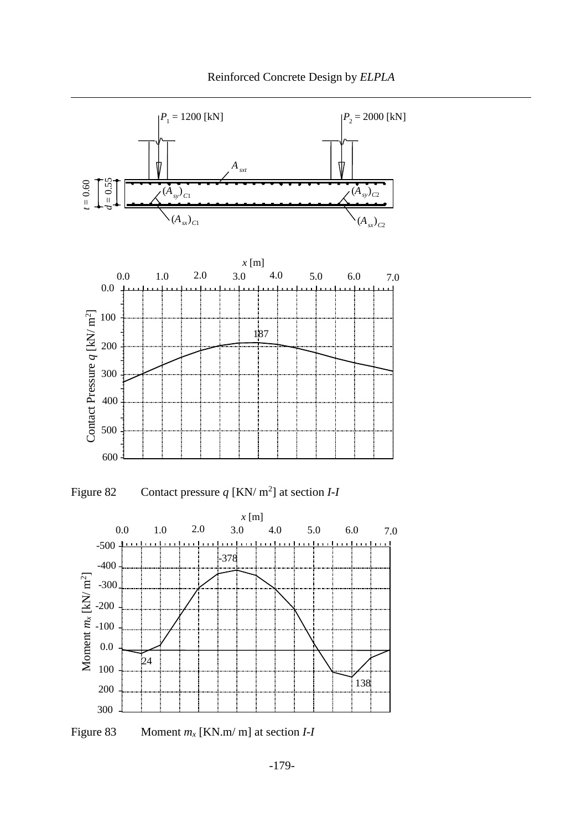

<span id="page-5-0"></span>



<span id="page-5-1"></span>Figure 83 Moment *m<sup>x</sup>* [KN.m/ m] at section *I-I*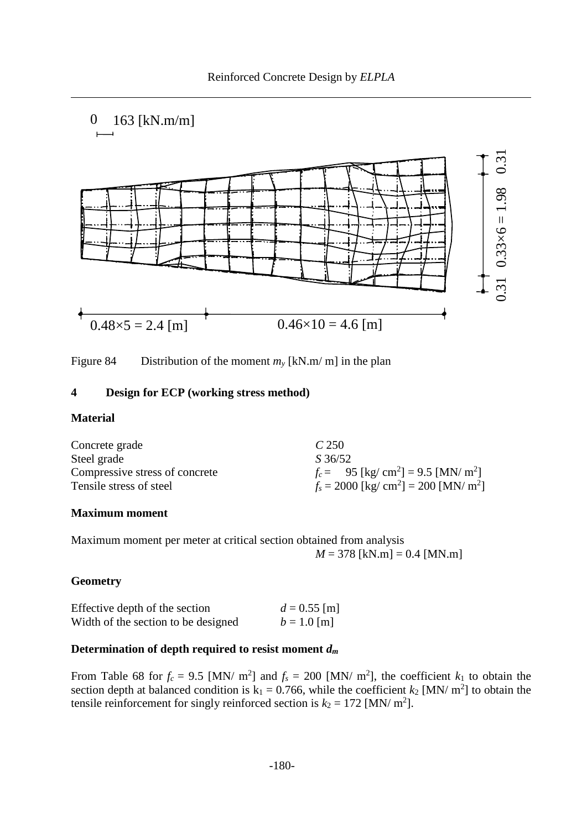

<span id="page-6-0"></span>Figure 84 Distribution of the moment  $m<sub>v</sub>$  [kN.m/ m] in the plan

## **4 Design for ECP (working stress method)**

## **Material**

| Concrete grade                 | C250                                                            |
|--------------------------------|-----------------------------------------------------------------|
| Steel grade                    | S 36/52                                                         |
| Compressive stress of concrete | $f_c = 95$ [kg/ cm <sup>2</sup> ] = 9.5 [MN/ m <sup>2</sup> ]   |
| Tensile stress of steel        | $f_s = 2000$ [kg/ cm <sup>2</sup> ] = 200 [MN/ m <sup>2</sup> ] |

## **Maximum moment**

Maximum moment per meter at critical section obtained from analysis

 $M = 378$  [kN.m] = 0.4 [MN.m]

## **Geometry**

| Effective depth of the section      | $d = 0.55$ [m] |
|-------------------------------------|----------------|
| Width of the section to be designed | $b = 1.0$ [m]  |

## **Determination of depth required to resist moment** *d<sup>m</sup>*

From [Table 68](#page-8-0) for  $f_c = 9.5$  [MN/ m<sup>2</sup>] and  $f_s = 200$  [MN/ m<sup>2</sup>], the coefficient  $k_1$  to obtain the section depth at balanced condition is  $k_1 = 0.766$ , while the coefficient  $k_2$  [MN/ m<sup>2</sup>] to obtain the tensile reinforcement for singly reinforced section is  $k_2 = 172$  [MN/ m<sup>2</sup>].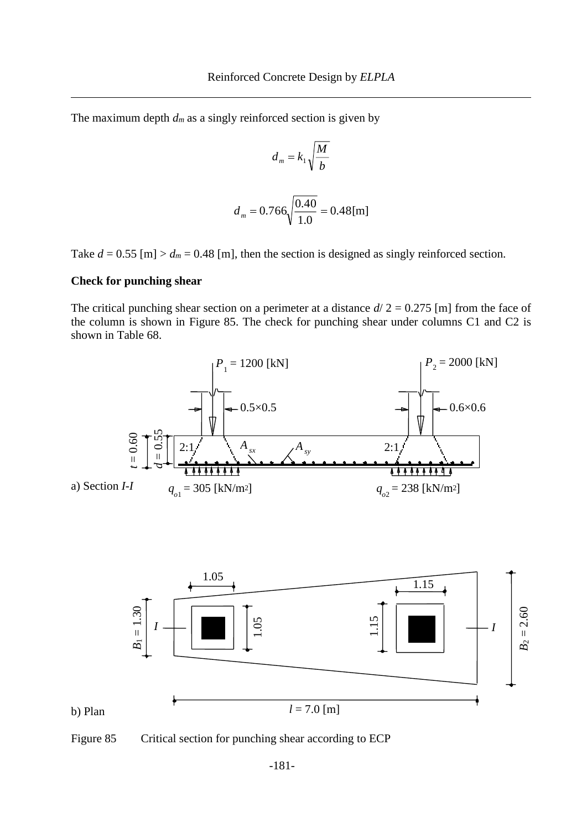The maximum depth *d<sup>m</sup>* as a singly reinforced section is given by

$$
d_m = k_1 \sqrt{\frac{M}{b}}
$$

$$
d_m = 0.766 \sqrt{\frac{0.40}{1.0}} = 0.48 \text{ [m]}
$$

Take  $d = 0.55$  [m]  $> d_m = 0.48$  [m], then the section is designed as singly reinforced section.

### **Check for punching shear**

The critical punching shear section on a perimeter at a distance  $d/2 = 0.275$  [m] from the face of the column is shown in [Figure 85.](#page-7-0) The check for punching shear under columns C1 and C2 is shown in [Table 68.](#page-8-0)



<span id="page-7-0"></span>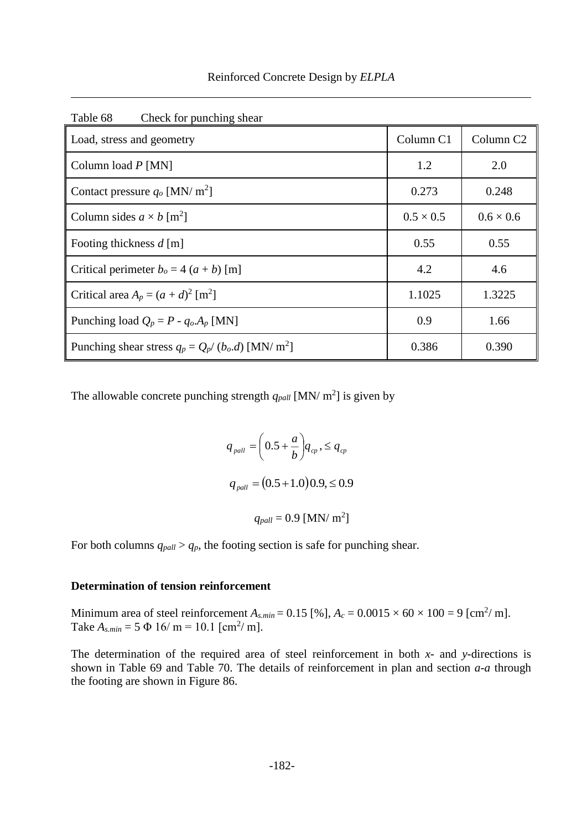### Reinforced Concrete Design by *ELPLA*

<span id="page-8-0"></span>

| Table 68<br>Check for punching shear                           |                      |                      |
|----------------------------------------------------------------|----------------------|----------------------|
| Load, stress and geometry                                      | Column <sub>C1</sub> | Column <sub>C2</sub> |
| Column load $P$ [MN]                                           | 1.2                  | 2.0                  |
| Contact pressure $q_o$ [MN/ m <sup>2</sup> ]                   | 0.273                | 0.248                |
| Column sides $a \times b$ [m <sup>2</sup> ]                    | $0.5 \times 0.5$     | $0.6 \times 0.6$     |
| Footing thickness $d$ [m]                                      | 0.55                 | 0.55                 |
| Critical perimeter $b_0 = 4(a + b)$ [m]                        | 4.2                  | 4.6                  |
| Critical area $A_p = (a + d)^2$ [m <sup>2</sup> ]              | 1.1025               | 1.3225               |
| Punching load $Q_p = P - q_o A_p$ [MN]                         | 0.9                  | 1.66                 |
| Punching shear stress $q_p = Q_p/(b_o.d)$ [MN/m <sup>2</sup> ] | 0.386                | 0.390                |

The allowable concrete punching strength  $q_{pall}$  [MN/ m<sup>2</sup>] is given by

$$
q_{\text{pall}} = \left(0.5 + \frac{a}{b}\right) q_{\text{cp}}, \leq q_{\text{cp}}
$$
\n
$$
q_{\text{pall}} = \left(0.5 + 1.0\right) 0.9, \leq 0.9
$$
\n
$$
q_{\text{pall}} = 0.9 \text{ [MN/m}^2\text{]}
$$

For both columns  $q_{pall} > q_p$ , the footing section is safe for punching shear.

### **Determination of tension reinforcement**

Minimum area of steel reinforcement  $A_{s,min} = 0.15$  [%],  $A_c = 0.0015 \times 60 \times 100 = 9$  [cm<sup>2</sup>/m]. Take  $A_{s,min} = 5 \Phi 16/m = 10.1$  [cm<sup>2</sup>/ m].

The determination of the required area of steel reinforcement in both *x-* and *y-*directions is shown in [Table 69](#page-9-0) and [Table 70.](#page-9-1) The details of reinforcement in plan and section *a-a* through the footing are shown in [Figure 86.](#page-10-0)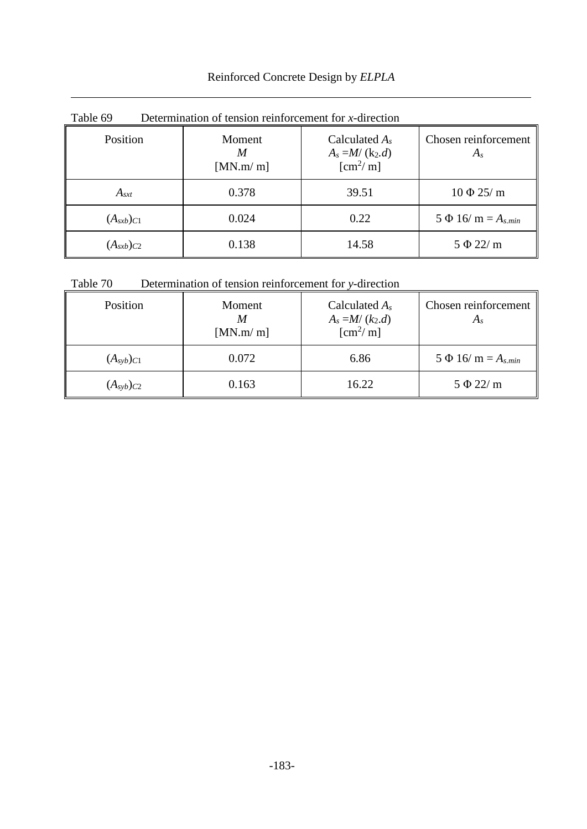Reinforced Concrete Design by *ELPLA*

| Table 69<br>Determination of tension reinforcement for $x$ -direction |                         |                                                              |                                     |
|-----------------------------------------------------------------------|-------------------------|--------------------------------------------------------------|-------------------------------------|
| Position                                                              | Moment<br>M<br>[MN.m/m] | Calculated $A_s$<br>$A_s = M/(k_2.d)$<br>$\mathrm{[cm^2/m]}$ | Chosen reinforcement<br>$A_{\rm S}$ |
| $A_{sxt}$                                                             | 0.378                   | 39.51                                                        | $10 \Phi 25/m$                      |
| $(A_{sxb})_{C1}$                                                      | 0.024                   | 0.22                                                         | 5 $\Phi$ 16/ m = $A_{s,min}$        |
| $(A_{sxb})_{C2}$                                                      | 0.138                   | 14.58                                                        | $5 \Phi 22/m$                       |

<span id="page-9-0"></span>Table 69 Determination of tension reinforcement for *x*-direction

<span id="page-9-1"></span>

| Table 70<br>Determination of tension reinforcement for y-direction |  |
|--------------------------------------------------------------------|--|
|--------------------------------------------------------------------|--|

| Position            | Moment<br>M<br>[MN.m/m] | Calculated $A_s$<br>$A_s = M/(k_2.d)$<br>$\left[\text{cm}^2/\text{m}\right]$ | Chosen reinforcement<br>$A_{\rm s}$ |
|---------------------|-------------------------|------------------------------------------------------------------------------|-------------------------------------|
| $(A_{s\nu b})_{C1}$ | 0.072                   | 6.86                                                                         | 5 $\Phi$ 16/ m = $A_{s,min}$        |
| $(A_{syb})_{C2}$    | 0.163                   | 16.22                                                                        | $5 \Phi 22/m$                       |